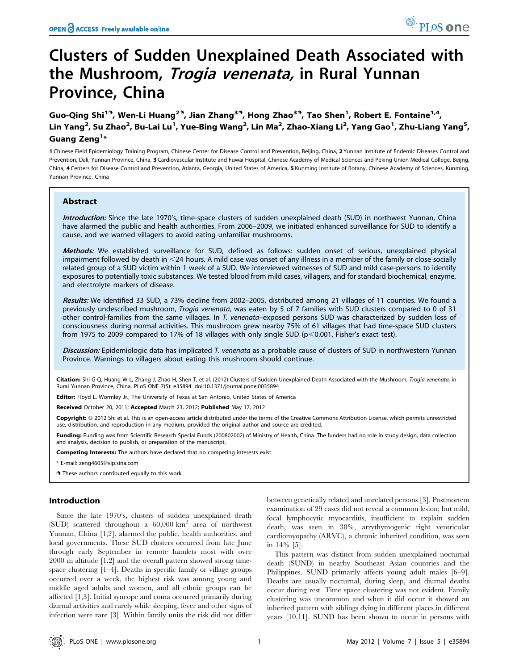# Clusters of Sudden Unexplained Death Associated with the Mushroom, *Trogia venenata*, in Rural Yunnan Province, China

Guo-Qing Shi<sup>19</sup>, Wen-Li Huang<sup>29</sup>, Jian Zhang<sup>39</sup>, Hong Zhao<sup>39</sup>, Tao Shen<sup>1</sup>, Robert E. Fontaine<sup>1,4</sup>, Lin Yang<sup>2</sup>, Su Zhao<sup>2</sup>, Bu-Lai Lu<sup>1</sup>, Yue-Bing Wang<sup>2</sup>, Lin Ma<sup>2</sup>, Zhao-Xiang Li<sup>2</sup>, Yang Gao<sup>1</sup>, Zhu-Liang Yang<sup>5</sup>, Guang Zeng $^{\mathsf{1}\ast}$ 

1 Chinese Field Epidemiology Training Program, Chinese Center for Disease Control and Prevention, Beijing, China, 2 Yunnan Institute of Endemic Diseases Control and Prevention, Dali, Yunnan Province, China, 3 Cardiovascular Institute and Fuwai Hospital, Chinese Academy of Medical Sciences and Peking Union Medical College, Beijng, China, 4 Centers for Disease Control and Prevention, Atlanta, Georgia, United States of America, 5 Kunming Institute of Botany, Chinese Academy of Sciences, Kunming, Yunnan Province, China

# Abstract

Introduction: Since the late 1970's, time-space clusters of sudden unexplained death (SUD) in northwest Yunnan, China have alarmed the public and health authorities. From 2006–2009, we initiated enhanced surveillance for SUD to identify a cause, and we warned villagers to avoid eating unfamiliar mushrooms.

Methods: We established surveillance for SUD, defined as follows: sudden onset of serious, unexplained physical impairment followed by death in  $<$  24 hours. A mild case was onset of any illness in a member of the family or close socially related group of a SUD victim within 1 week of a SUD. We interviewed witnesses of SUD and mild case-persons to identify exposures to potentially toxic substances. We tested blood from mild cases, villagers, and for standard biochemical, enzyme, and electrolyte markers of disease.

Results: We identified 33 SUD, a 73% decline from 2002-2005, distributed among 21 villages of 11 counties. We found a previously undescribed mushroom, Trogia venenata, was eaten by 5 of 7 families with SUD clusters compared to 0 of 31 other control-families from the same villages. In T. venenata–exposed persons SUD was characterized by sudden loss of consciousness during normal activities. This mushroom grew nearby 75% of 61 villages that had time-space SUD clusters from 1975 to 2009 compared to 17% of 18 villages with only single SUD ( $p$ <0.001, Fisher's exact test).

Discussion: Epidemiologic data has implicated T. venenata as a probable cause of clusters of SUD in northwestern Yunnan Province. Warnings to villagers about eating this mushroom should continue.

Citation: Shi G-Q, Huang W-L, Zhang J, Zhao H, Shen T, et al. (2012) Clusters of Sudden Unexplained Death Associated with the Mushroom, Trogia venenata, in Rural Yunnan Province, China. PLoS ONE 7(5): e35894. doi:10.1371/journal.pone.0035894

Editor: Floyd L. Wormley Jr., The University of Texas at San Antonio, United States of America

Received October 20, 2011; Accepted March 23, 2012; Published May 17, 2012

Copyright: © 2012 Shi et al. This is an open-access article distributed under the terms of the Creative Commons Attribution License, which permits unrestricted use, distribution, and reproduction in any medium, provided the original author and source are credited.

Funding: Funding was from Scientific Research Special Funds (200802002) of Ministry of Health, China. The funders had no role in study design, data collection and analysis, decision to publish, or preparation of the manuscript.

Competing Interests: The authors have declared that no competing interests exist.

\* E-mail: zeng4605@vip.sina.com

**.** These authors contributed equally to this work.

#### Introduction

Since the late 1970's, clusters of sudden unexplained death (SUD) scattered throughout a  $60,000 \text{ km}^2$  area of northwest Yunnan, China [1,2], alarmed the public, health authorities, and local governments. These SUD clusters occurred from late June through early September in remote hamlets most with over 2000 m altitude [1,2] and the overall pattern showed strong timespace clustering [1–4]. Deaths in specific family or village groups occurred over a week, the highest risk was among young and middle aged adults and women, and all ethnic groups can be affected [1,3]. Initial syncope and coma occurred primarily during diurnal activities and rarely while sleeping, fever and other signs of infection were rare [3]. Within family units the risk did not differ

between genetically related and unrelated persons [3]. Postmortem examination of 29 cases did not reveal a common lesion; but mild, focal lymphocytic myocarditis, insufficient to explain sudden death, was seen in 38%, arrythymogenic right ventricular cardiomyopathy (ARVC), a chronic inherited condition, was seen in 14% [5].

This pattern was distinct from sudden unexplained nocturnal death (SUND) in nearby Southeast Asian countries and the Philippines. SUND primarily affects young adult males [6–9]. Deaths are usually nocturnal, during sleep, and diurnal deaths occur during rest. Time space clustering was not evident. Family clustering was uncommon and when it did occur it showed an inherited pattern with siblings dying in different places in different years [10,11]. SUND has been shown to occur in persons with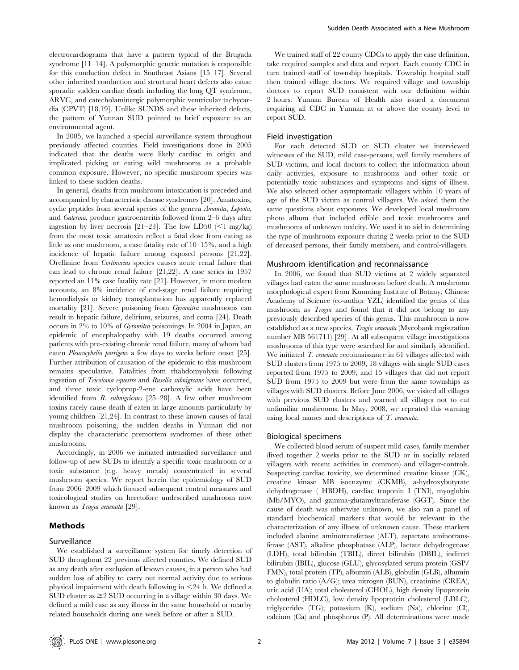electrocardiograms that have a pattern typical of the Brugada syndrome [11–14]. A polymorphic genetic mutation is responsible for this conduction defect in Southeast Asians [15–17]. Several other inherited conduction and structural heart defects also cause sporadic sudden cardiac death including the long QT syndrome, ARVC, and catecholaminergic polymorphic ventricular tachycardia (CPVT) [18,19]. Unlike SUNDS and these inherited defects, the pattern of Yunnan SUD pointed to brief exposure to an environmental agent.

In 2005, we launched a special surveillance system throughout previously affected counties. Field investigations done in 2005 indicated that the deaths were likely cardiac in origin and implicated picking or eating wild mushrooms as a probable common exposure. However, no specific mushroom species was linked to these sudden deaths.

In general, deaths from mushroom intoxication is preceded and accompanied by characteristic disease syndromes [20]. Amatoxins, cyclic peptides from several species of the genera Amanita, Lepiota, and Galerina, produce gastroenteritis followed from 2–6 days after ingestion by liver necrosis [21–23]. The low LD50 ( $\leq$ 1 mg/kg) from the most toxic amatoxin reflect a fatal dose from eating as little as one mushroom, a case fatality rate of 10–15%, and a high incidence of hepatic failure among exposed persons [21,22]. Orellinine from Cortinarius species causes acute renal failure that can lead to chronic renal failure [21,22]. A case series in 1957 reported an 11% case fatality rate [21]. However, in more modern accounts, an 8% incidence of end-stage renal failure requiring hemodialysis or kidney transplantation has apparently replaced mortality [21]. Severe poisoning from Gyromitra mushrooms can result in hepatic failure, delirium, seizures, and coma [24]. Death occurs in 2% to 10% of Gyromitra poisonings. In 2004 in Japan, an epidemic of encephalopathy with 19 deaths occurred among patients with pre-existing chronic renal failure, many of whom had eaten Pleurocybella porrigens a few days to weeks before onset [25]. Further attribution of causation of the epidemic to this mushroom remains speculative. Fatalities from rhabdomyolysis following ingestion of Tricoloma equestre and Rusella subnigrcans have occurred, and three toxic cycloprop-2-ene carboxylic acids have been identified from *R. subnigricans* [25–28]. A few other mushroom toxins rarely cause death if eaten in large amounts particularly by young children [21,24]. In contrast to these known causes of fatal mushroom poisoning, the sudden deaths in Yunnan did not display the characteristic premortem syndromes of these other mushrooms.

Accordingly, in 2006 we initiated intensified surveillance and follow-up of new SUDs to identify a specific toxic mushroom or a toxic substance (e.g. heavy metals) concentrated in several mushroom species. We report herein the epidemiology of SUD from 2006–2009 which focused subsequent control measures and toxicological studies on heretofore undescribed mushroom now known as Trogia venenata [29].

# Methods

#### Surveillance

We established a surveillance system for timely detection of SUD throughout 22 previous affected counties. We defined SUD as any death after exclusion of known causes, in a person who had sudden loss of ability to carry out normal activity due to serious physical impairment with death following in  $\leq$ 24 h. We defined a SUD cluster as  $\geq$  2 SUD occurring in a village within 30 days. We defined a mild case as any illness in the same household or nearby related households during one week before or after a SUD.

We trained staff of 22 county CDCs to apply the case definition, take required samples and data and report. Each county CDC in turn trained staff of township hospitals. Township hospital staff then trained village doctors. We required village and township doctors to report SUD consistent with our definition within 2 hours. Yunnan Bureau of Health also issued a document requiring all CDC in Yunnan at or above the county level to report SUD.

#### Field investigation

For each detected SUD or SUD cluster we interviewed witnesses of the SUD, mild case-persons, well family members of SUD victims, and local doctors to collect the information about daily activities, exposure to mushrooms and other toxic or potentially toxic substances and symptoms and signs of illness. We also selected other asymptomatic villagers within 10 years of age of the SUD victim as control villagers. We asked them the same questions about exposures. We developed local mushroom photo album that included edible and toxic mushrooms and mushrooms of unknown toxicity. We used it to aid in determining the type of mushroom exposure during 2 weeks prior to the SUD of deceased persons, their family members, and control-villagers.

# Mushroom identification and reconnaissance

In 2006, we found that SUD victims at 2 widely separated villages had eaten the same mushroom before death. A mushroom morphological expert from Kunming Institute of Botany, Chinese Academy of Science (co-author YZL) identified the genus of this mushroom as Trogia and found that it did not belong to any previously described species of this genus. This mushroom is now established as a new species, Trogia venenata (Mycobank registration number MB 561711) [29]. At all subsequent village investigations mushrooms of this type were searched for and similarly identified. We initiated T. venenata reconnaissance in 61 villages affected with SUD clusters from 1975 to 2009, 18 villages with single SUD cases reported from 1975 to 2009, and 15 villages that did not report SUD from 1975 to 2009 but were from the same townships as villages with SUD clusters. Before June 2006, we visited all villages with previous SUD clusters and warned all villages not to eat unfamiliar mushrooms. In May, 2008, we repeated this warning using local names and descriptions of T. venenata.

#### Biological specimens

We collected blood serum of suspect mild cases, family member (lived together 2 weeks prior to the SUD or in socially related villagers with recent activities in common) and villager-controls. Suspecting cardiac toxicity, we determined creatine kinase (CK), creatine kinase MB isoenzyme (CKMB), a-hydroxybutyrate dehydrogenase ( HBDH), cardiac troponin I (TNI), myoglobin (Mb/MYO), and gamma-glutamyltransferase (GGT). Since the cause of death was otherwise unknown, we also ran a panel of standard biochemical markers that would be relevant in the characterization of any illness of unknown cause. These markers included alanine aminotransferase (ALT), aspartate aminotransferase (AST), alkaline phosphatase (ALP), lactate dehydrogenase (LDH), total bilirubin (TBIL), direct bilirubin (DBIL), indirect bilirubin (IBIL), glucose (GLU), glycosylated serum protein (GSP/ FMN), total protein (TP), albumin (ALB), globulin (GLB), albumin to globulin ratio (A/G); urea nitrogen (BUN), creatinine (CREA), uric acid (UA); total cholesterol (CHOL), high density lipoprotein cholesterol (HDLC), low density lipoprotein cholesterol (LDLC), triglycerides (TG); potassium (K), sodium (Na), chlorine (Cl), calcium (Ca) and phosphorus (P). All determinations were made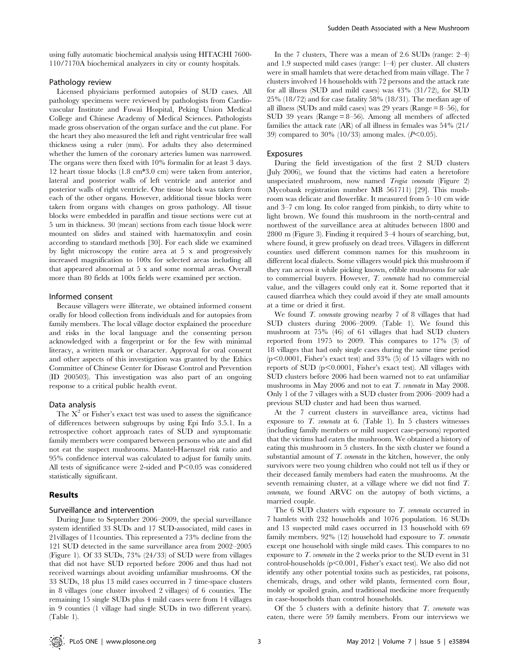using fully automatic biochemical analysis using HITACHI 7600- 110/7170A biochemical analyzers in city or county hospitals.

#### Pathology review

Licensed physicians performed autopsies of SUD cases. All pathology specimens were reviewed by pathologists from Cardiovascular Institute and Fuwai Hospital, Peking Union Medical College and Chinese Academy of Medical Sciences. Pathologists made gross observation of the organ surface and the cut plane. For the heart they also measured the left and right ventricular free wall thickness using a ruler (mm). For adults they also determined whether the lumen of the coronary arteries lumen was narrowed. The organs were then fixed with 10% formalin for at least 3 days. 12 heart tissue blocks (1.8 cm\*3.0 cm) were taken from anterior, lateral and posterior walls of left ventricle and anterior and posterior walls of right ventricle. One tissue block was taken from each of the other organs. However, additional tissue blocks were taken from organs with changes on gross pathology. All tissue blocks were embedded in paraffin and tissue sections were cut at 5 um in thickness. 30 (mean) sections from each tissue block were mounted on slides and stained with haematoxylin and eosin according to standard methods [30]. For each slide we examined by light microscopy the entire area at 5 x and progressively increased magnification to 100x for selected areas including all that appeared abnormal at 5 x and some normal areas. Overall more than 80 fields at 100x fields were examined per section.

#### Informed consent

Because villagers were illiterate, we obtained informed consent orally for blood collection from individuals and for autopsies from family members. The local village doctor explained the procedure and risks in the local language and the consenting person acknowledged with a fingerprint or for the few with minimal literacy, a written mark or character. Approval for oral consent and other aspects of this investigation was granted by the Ethics Committee of Chinese Center for Disease Control and Prevention (ID 200503). This investigation was also part of an ongoing response to a critical public health event.

#### Data analysis

The  $X^2$  or Fisher's exact test was used to assess the significance of differences between subgroups by using Epi Info 3.5.1. In a retrospective cohort approach rates of SUD and symptomatic family members were compared between persons who ate and did not eat the suspect mushrooms. Mantel-Haenszel risk ratio and 95% confidence interval was calculated to adjust for family units. All tests of significance were 2-sided and  $P<0.05$  was considered statistically significant.

#### Results

#### Surveillance and intervention

During June to September 2006–2009, the special surveillance system identified 33 SUDs and 17 SUD-associated, mild cases in 21villages of 11counties. This represented a 73% decline from the 121 SUD detected in the same surveillance area from 2002–2005 (Figure 1). Of 33 SUDs, 73% (24/33) of SUD were from villages that did not have SUD reported before 2006 and thus had not received warnings about avoiding unfamiliar mushrooms. Of the 33 SUDs, 18 plus 13 mild cases occurred in 7 time-space clusters in 8 villages (one cluster involved 2 villages) of 6 counties. The remaining 15 single SUDs plus 4 mild cases were from 14 villages in 9 counties (1 village had single SUDs in two different years). (Table 1).

In the 7 clusters, There was a mean of 2.6 SUDs (range: 2–4) and 1.9 suspected mild cases (range: 1–4) per cluster. All clusters were in small hamlets that were detached from main village. The 7 clusters involved 14 households with 72 persons and the attack rate for all illness (SUD and mild cases) was 43% (31/72), for SUD 25% (18/72) and for case fatality 58% (18/31). The median age of all illness (SUDs and mild cases) was 29 years (Range = 8–56), for SUD 39 years (Range = 8–56). Among all members of affected families the attack rate (AR) of all illness in females was 54% (21/ 39) compared to 30% (10/33) among males.  $(P<0.05)$ .

#### Exposures

During the field investigation of the first 2 SUD clusters (July 2006), we found that the victims had eaten a heretofore unspeciated mushroom, now named Trogia venenata (Figure 2) (Mycobank registration number MB 561711) [29]. This mushroom was delicate and flowerlike. It measured from 5–10 cm wide and 3–7 cm long. Its color ranged from pinkish, to dirty white to light brown. We found this mushroom in the north-central and northwest of the surveillance area at altitudes between 1800 and 2800 m (Figure 3). Finding it required 3–4 hours of searching, but, where found, it grew profusely on dead trees. Villagers in different counties used different common names for this mushroom in different local dialects. Some villagers would pick this mushroom if they ran across it while picking known, edible mushrooms for sale to commercial buyers. However, T. venenata had no commercial value, and the villagers could only eat it. Some reported that it caused diarrhea which they could avoid if they ate small amounts at a time or dried it first.

We found *T. venenata* growing nearby 7 of 8 villages that had SUD clusters during 2006–2009. (Table 1). We found this mushroom at 75% (46) of 61 villages that had SUD clusters reported from 1975 to 2009. This compares to 17% (3) of 18 villages that had only single cases during the same time period  $(p<0.0001$ , Fisher's exact test) and 33% (5) of 15 villages with no reports of SUD  $(p<0.0001,$  Fisher's exact test). All villages with SUD clusters before 2006 had been warned not to eat unfamiliar mushrooms in May 2006 and not to eat T. venenata in May 2008. Only 1 of the 7 villages with a SUD cluster from 2006–2009 had a previous SUD cluster and had been thus warned.

At the 7 current clusters in surveillance area, victims had exposure to  $T$ . *venenata* at 6. (Table 1). In 5 clusters witnesses (including family members or mild suspect case-persons) reported that the victims had eaten the mushroom. We obtained a history of eating this mushroom in 5 clusters. In the sixth cluster we found a substantial amount of  $T$ . *venenata* in the kitchen, however, the only survivors were two young children who could not tell us if they or their deceased family members had eaten the mushrooms. At the seventh remaining cluster, at a village where we did not find T. venenata, we found ARVC on the autopsy of both victims, a married couple.

The 6 SUD clusters with exposure to T. venenata occurred in 7 hamlets with 232 households and 1076 population. 16 SUDs and 13 suspected mild cases occurred in 13 household with 69 family members.  $92\%$  (12) household had exposure to T. venenata except one household with single mild cases. This compares to no exposure to T. venenata in the 2 weeks prior to the SUD event in 31 control-households ( $p<0.001$ , Fisher's exact test). We also did not identify any other potential toxins such as pesticides, rat poisons, chemicals, drugs, and other wild plants, fermented corn flour, moldy or spoiled grain, and traditional medicine more frequently in case-households than control households.

Of the 5 clusters with a definite history that  $T$ . venenata was eaten, there were 59 family members. From our interviews we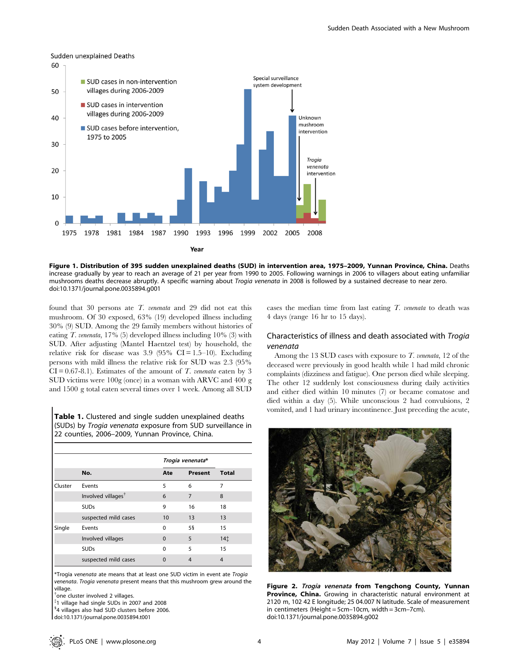

Figure 1. Distribution of 395 sudden unexplained deaths (SUD) in intervention area, 1975–2009, Yunnan Province, China. Deaths increase gradually by year to reach an average of 21 per year from 1990 to 2005. Following warnings in 2006 to villagers about eating unfamiliar mushrooms deaths decrease abruptly. A specific warning about Trogia venenata in 2008 is followed by a sustained decrease to near zero. doi:10.1371/journal.pone.0035894.g001

found that 30 persons ate T. venenata and 29 did not eat this mushroom. Of 30 exposed, 63% (19) developed illness including 30% (9) SUD. Among the 29 family members without histories of eating T. venenata,  $17\%$  (5) developed illness including  $10\%$  (3) with SUD. After adjusting (Mantel Haentzel test) by household, the relative risk for disease was  $3.9$  (95% CI = 1.5–10). Excluding persons with mild illness the relative risk for SUD was 2.3 (95%  $CI = 0.67-8.1$ . Estimates of the amount of T. venenata eaten by 3 SUD victims were 100g (once) in a woman with ARVC and 400 g and 1500 g total eaten several times over 1 week. Among all SUD

Table 1. Clustered and single sudden unexplained deaths (SUDs) by Trogia venenata exposure from SUD surveillance in 22 counties, 2006–2009, Yunnan Province, China.

|         |                                | Trogia venenata* |                |                 |
|---------|--------------------------------|------------------|----------------|-----------------|
|         | No.                            | Ate              | Present        | <b>Total</b>    |
| Cluster | Events                         | 5                | 6              | 7               |
|         | Involved villages <sup>†</sup> | 6                | 7              | 8               |
|         | <b>SUDs</b>                    | 9                | 16             | 18              |
|         | suspected mild cases           | 10               | 13             | 13              |
| Single  | Events                         | $\Omega$         | 58             | 15              |
|         | Involved villages              | $\Omega$         | 5              | 14 <sup>†</sup> |
|         | <b>SUDs</b>                    | $\Omega$         | 5              | 15              |
|         | suspected mild cases           | $\Omega$         | $\overline{4}$ | 4               |

\*Trogia venenata ate means that at least one SUD victim in event ate Trogia venenata. Trogia venenata present means that this mushroom grew around the village.

{ one cluster involved 2 villages.

- $*$ 1 village had single SUDs in 2007 and 2008
- <sup>§</sup>4 villages also had SUD clusters before 2006.

doi:10.1371/journal.pone.0035894.t001

cases the median time from last eating  $T$ . venenata to death was 4 days (range 16 hr to 15 days).

# Characteristics of illness and death associated with Trogia venenata

Among the 13 SUD cases with exposure to  $T$ . venenata, 12 of the deceased were previously in good health while 1 had mild chronic complaints (dizziness and fatigue). One person died while sleeping. The other 12 suddenly lost consciousness during daily activities and either died within 10 minutes (7) or became comatose and died within a day (5). While unconscious 2 had convulsions, 2 vomited, and 1 had urinary incontinence. Just preceding the acute,



Figure 2. Trogia venenata from Tengchong County, Yunnan Province, China. Growing in characteristic natural environment at 2120 m, 102 42 E longitude; 25 04.007 N latitude. Scale of measurement in centimeters (Height = 5cm–10cm, width = 3cm–7cm). doi:10.1371/journal.pone.0035894.g002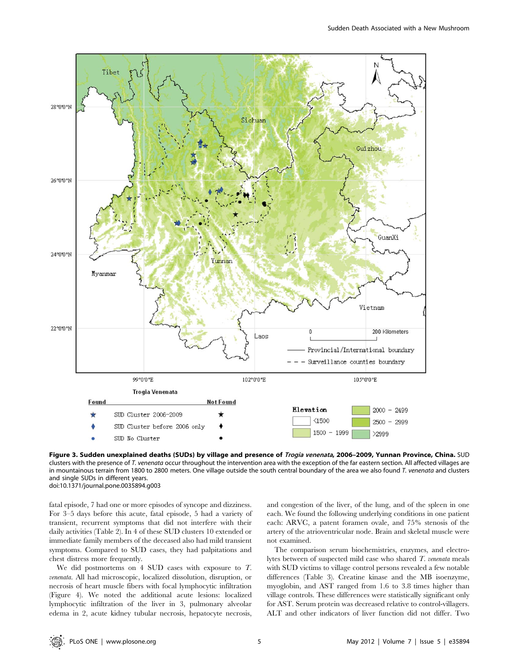

Figure 3. Sudden unexplained deaths (SUDs) by village and presence of Trogia venenata, 2006-2009, Yunnan Province, China. SUD clusters with the presence of T. venenata occur throughout the intervention area with the exception of the far eastern section. All affected villages are in mountainous terrain from 1800 to 2800 meters. One village outside the south central boundary of the area we also found T. venenata and clusters and single SUDs in different years. doi:10.1371/journal.pone.0035894.g003

fatal episode, 7 had one or more episodes of syncope and dizziness. For 3–5 days before this acute, fatal episode, 5 had a variety of transient, recurrent symptoms that did not interfere with their daily activities (Table 2). In 4 of these SUD clusters 10 extended or immediate family members of the deceased also had mild transient symptoms. Compared to SUD cases, they had palpitations and chest distress more frequently.

We did postmortems on 4 SUD cases with exposure to T. venenata. All had microscopic, localized dissolution, disruption, or necrosis of heart muscle fibers with focal lymphocytic infiltration (Figure 4). We noted the additional acute lesions: localized lymphocytic infiltration of the liver in 3, pulmonary alveolar edema in 2, acute kidney tubular necrosis, hepatocyte necrosis,

and congestion of the liver, of the lung, and of the spleen in one each. We found the following underlying conditions in one patient each: ARVC, a patent foramen ovale, and 75% stenosis of the artery of the atrioventricular node. Brain and skeletal muscle were not examined.

The comparison serum biochemistries, enzymes, and electrolytes between of suspected mild case who shared T. venenata meals with SUD victims to village control persons revealed a few notable differences (Table 3). Creatine kinase and the MB isoenzyme, myoglobin, and AST ranged from 1.6 to 3.8 times higher than village controls. These differences were statistically significant only for AST. Serum protein was decreased relative to control-villagers. ALT and other indicators of liver function did not differ. Two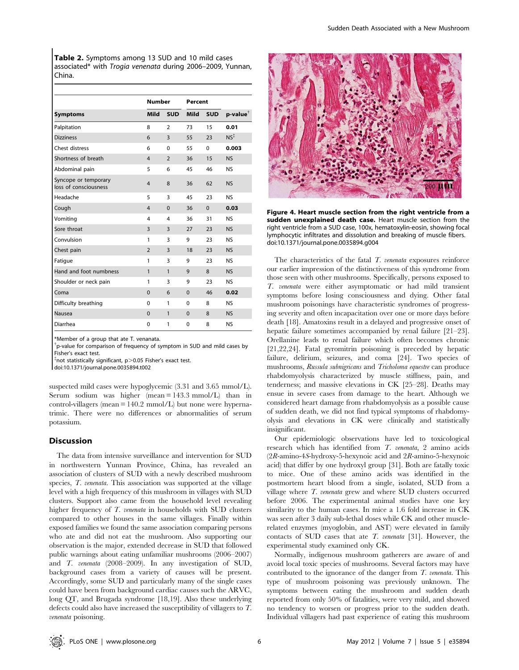Table 2. Symptoms among 13 SUD and 10 mild cases associated\* with Trogia venenata during 2006–2009, Yunnan, China.

|                                               | <b>Number</b>  |                | Percent      |            |                         |  |
|-----------------------------------------------|----------------|----------------|--------------|------------|-------------------------|--|
| <b>Symptoms</b>                               | Mild           | <b>SUD</b>     | <b>Mild</b>  | <b>SUD</b> | $p$ -value $^{\dagger}$ |  |
| Palpitation                                   | 8              | $\overline{2}$ | 73           | 15         | 0.01                    |  |
| <b>Dizziness</b>                              | 6              | 3              | 55           | 23         | $NS^{\ddagger}$         |  |
| Chest distress                                | 6              | $\Omega$       | 55           | 0          | 0.003                   |  |
| Shortness of breath                           | $\overline{4}$ | $\overline{2}$ | 36           | 15         | <b>NS</b>               |  |
| Abdominal pain                                | 5              | 6              | 45           | 46         | <b>NS</b>               |  |
| Syncope or temporary<br>loss of consciousness | $\overline{4}$ | 8              | 36           | 62         | NS                      |  |
| Headache                                      | 5              | 3              | 45           | 23         | <b>NS</b>               |  |
| Cough                                         | $\overline{4}$ | $\Omega$       | 36           | $\Omega$   | 0.03                    |  |
| Vomiting                                      | 4              | 4              | 36           | 31         | <b>NS</b>               |  |
| Sore throat                                   | 3              | 3              | 27           | 23         | <b>NS</b>               |  |
| Convulsion                                    | 1              | 3              | 9            | 23         | <b>NS</b>               |  |
| Chest pain                                    | $\overline{2}$ | 3              | 18           | 23         | <b>NS</b>               |  |
| Fatigue                                       | 1              | 3              | 9            | 23         | <b>NS</b>               |  |
| Hand and foot numbness                        | 1              | $\mathbf{1}$   | $\mathbf{Q}$ | 8          | <b>NS</b>               |  |
| Shoulder or neck pain                         | 1              | 3              | 9            | 23         | <b>NS</b>               |  |
| Coma                                          | $\Omega$       | 6              | $\Omega$     | 46         | 0.02                    |  |
| Difficulty breathing                          | $\Omega$       | 1              | $\Omega$     | 8          | <b>NS</b>               |  |
| Nausea                                        | $\Omega$       | $\mathbf{1}$   | $\Omega$     | 8          | <b>NS</b>               |  |
| Diarrhea                                      | $\mathbf 0$    | 1              | $\Omega$     | 8          | <b>NS</b>               |  |

\*Member of a group that ate T. venanata.

<sup>†</sup>p-value for comparison of frequency of symptom in SUD and mild cases by Fisher's exact test.

 $^{\ddagger}$ not statistically significant, p ${>}0.05$  Fisher's exact test.

doi:10.1371/journal.pone.0035894.t002

suspected mild cases were hypoglycemic (3.31 and 3.65 mmol/L). Serum sodium was higher (mean  $= 143.3$  mmol/L) than in control-villagers (mean  $= 140.2$  mmol/L) but none were hypernatrimic. There were no differences or abnormalities of serum potassium.

## **Discussion**

The data from intensive surveillance and intervention for SUD in northwestern Yunnan Province, China, has revealed an association of clusters of SUD with a newly described mushroom species, *T. venenata*. This association was supported at the village level with a high frequency of this mushroom in villages with SUD clusters. Support also came from the household level revealing higher frequency of T. venenata in households with SUD clusters compared to other houses in the same villages. Finally within exposed families we found the same association comparing persons who ate and did not eat the mushroom. Also supporting our observation is the major, extended decrease in SUD that followed public warnings about eating unfamiliar mushrooms (2006–2007) and T. venenata (2008–2009). In any investigation of SUD, background cases from a variety of causes will be present. Accordingly, some SUD and particularly many of the single cases could have been from background cardiac causes such the ARVC, long QT, and Brugada syndrome [18,19]. Also these underlying defects could also have increased the susceptibility of villagers to T. venenata poisoning.



Figure 4. Heart muscle section from the right ventricle from a sudden unexplained death case. Heart muscle section from the right ventricle from a SUD case, 100x, hematoxylin-eosin, showing focal lymphocytic infiltrates and dissolution and breaking of muscle fibers. doi:10.1371/journal.pone.0035894.g004

The characteristics of the fatal  $T$ . venenata exposures reinforce our earlier impression of the distinctiveness of this syndrome from those seen with other mushrooms. Specifically, persons exposed to T. venenata were either asymptomatic or had mild transient symptoms before losing consciousness and dying. Other fatal mushroom poisonings have characteristic syndromes of progressing severity and often incapacitation over one or more days before death [18]. Amatoxins result in a delayed and progressive onset of hepatic failure sometimes accompanied by renal failure [21–23]. Orellanine leads to renal failure which often becomes chronic [21,22,24]. Fatal gyromitrin poisoning is preceded by hepatic failure, delirium, seizures, and coma [24]. Two species of mushrooms, Russula subnigricans and Tricholoma equestre can produce rhabdomyolysis characterized by muscle stiffness, pain, and tenderness; and massive elevations in CK [25–28]. Deaths may ensue in severe cases from damage to the heart. Although we considered heart damage from rhabdomyolysis as a possible cause of sudden death, we did not find typical symptoms of rhabdomyolysis and elevations in CK were clinically and statistically insignificant.

Our epidemiologic observations have led to toxicological research which has identified from T. venenata, 2 amino acids (2R-amino-4S-hydroxy-5-hexynoic acid and 2R-amino-5-hexynoic acid) that differ by one hydroxyl group [31]. Both are fatally toxic to mice. One of these amino acids was identified in the postmortem heart blood from a single, isolated, SUD from a village where T. venenata grew and where SUD clusters occurred before 2006. The experimental animal studies have one key similarity to the human cases. In mice a 1.6 fold increase in CK was seen after 3 daily sub-lethal doses while CK and other musclerelated enzymes (myoglobin, and AST) were elevated in family contacts of SUD cases that ate T. venenata [31]. However, the experimental study examined only CK.

Normally, indigenous mushroom gatherers are aware of and avoid local toxic species of mushrooms. Several factors may have contributed to the ignorance of the danger from T. venenata. This type of mushroom poisoning was previously unknown. The symptoms between eating the mushroom and sudden death reported from only 50% of fatalities, were very mild, and showed no tendency to worsen or progress prior to the sudden death. Individual villagers had past experience of eating this mushroom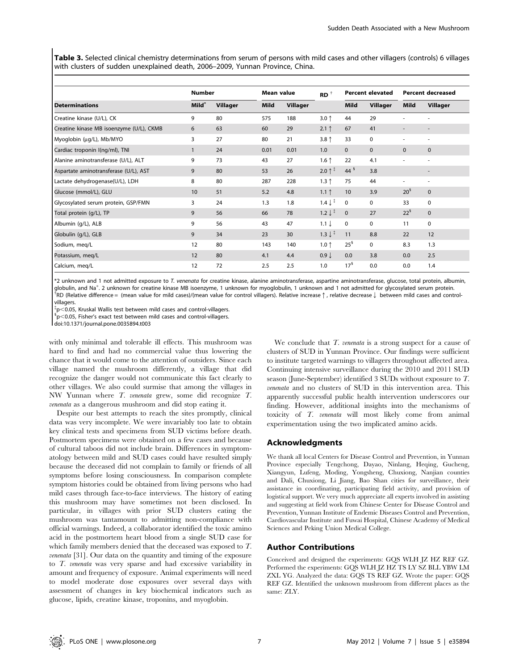Table 3. Selected clinical chemistry determinations from serum of persons with mild cases and other villagers (controls) 6 villages with clusters of sudden unexplained death, 2006–2009, Yunnan Province, China.

|                                          | <b>Number</b>     |          |      | Mean value |                               | <b>Percent elevated</b> |                 | <b>Percent decreased</b> |                          |
|------------------------------------------|-------------------|----------|------|------------|-------------------------------|-------------------------|-----------------|--------------------------|--------------------------|
| <b>Determinations</b>                    | Mild <sup>*</sup> | Villager | Mild | Villager   |                               | Mild                    | <b>Villager</b> | Mild                     | <b>Villager</b>          |
| Creatine kinase (U/L), CK                | 9                 | 80       | 575  | 188        | $3.0 \uparrow$                | 44                      | 29              |                          |                          |
| Creatine kinase MB isoenzyme (U/L), CKMB | 6                 | 63       | 60   | 29         | $2.1$ ↑                       | 67                      | 41              |                          |                          |
| Myoglobin (µg/L), Mb/MYO                 | 3                 | 27       | 80   | 21         | 3.8 <sup>†</sup>              | 33                      | 0               |                          | ٠                        |
| Cardiac troponin I(ng/ml), TNI           | $\mathbf{1}$      | 24       | 0.01 | 0.01       | 1.0                           | $\mathbf{0}$            | $\mathbf{0}$    | $\mathbf{0}$             | $\mathbf{0}$             |
| Alanine aminotransferase (U/L), ALT      | 9                 | 73       | 43   | 27         | 1.6 <sup>†</sup>              | 22                      | 4.1             |                          |                          |
| Aspartate aminotransferase (U/L), AST    | 9                 | 80       | 53   | 26         | $2.0$ ↑                       | 44 $\frac{1}{3}$        | 3.8             |                          | $\overline{\phantom{a}}$ |
| Lactate dehydrogenase(U/L), LDH          | 8                 | 80       | 287  | 228        | $1.3$ ↑                       | 75                      | 44              |                          | ٠                        |
| Glucose (mmol/L), GLU                    | 10                | 51       | 5.2  | 4.8        | $1.1$ $\uparrow$              | 10 <sup>°</sup>         | 3.9             | 20 <sup>5</sup>          | $\mathbf{0}$             |
| Glycosylated serum protein, GSP/FMN      | 3                 | 24       | 1.3  | 1.8        | $1.4 \downarrow$ <sup>‡</sup> | 0                       | 0               | 33                       | 0                        |
| Total protein (g/L), TP                  | 9                 | 56       | 66   | 78         | $1.2 \downarrow$ <sup>#</sup> | $\mathbf{0}$            | 27              | $22^s$                   | $\mathbf{0}$             |
| Albumin (g/L), ALB                       | 9                 | 56       | 43   | 47         | $1.1 \downarrow$              | $\mathbf 0$             | $\Omega$        | 11                       | $\mathbf 0$              |
| Globulin (g/L), GLB                      | 9                 | 34       | 23   | 30         | $1.3 \downarrow$ <sup>‡</sup> | 11                      | 8.8             | 22                       | 12                       |
| Sodium, meg/L                            | 12                | 80       | 143  | 140        | $1.0 \uparrow$                | $25^{\frac{5}{3}}$      | $\Omega$        | 8.3                      | 1.3                      |
| Potassium, meg/L                         | 12                | 80       | 4.1  | 4.4        | $0.9 \downarrow$              | 0.0                     | 3.8             | 0.0                      | 2.5                      |
| Calcium, meg/L                           | 12                | 72       | 2.5  | 2.5        | 1.0                           | 17 <sup>5</sup>         | 0.0             | 0.0                      | 1.4                      |

\*2 unknown and 1 not admitted exposure to T. venenata for creatine kinase, alanine aminotransferase, aspartine aminotransferase, glucose, total protein, albumin, globulin, and Na<sup>+</sup>. 2 unknown for creatine kinase MB isoenzyme, 1 unknown for myoglobulin, 1 unknown and 1 not admitted for glycosylated serum protein.<br><sup>TDD</sup> (Pelative difference – (mean value for mild cases)((mean value  ${}^{\tilde{\tau}}$ RD (Relative difference = (mean value for mild cases)/(mean value for control villagers). Relative increase  $\uparrow$ , relative decrease  $\downarrow$  between mild cases and controlvillagers.

{ <sup>p</sup>,0.05, Kruskal Wallis test between mild cases and control-villagers. <sup>1</sup>

 $\rm{^5p}$ <0.05, Fisher's exact test between mild cases and control-villagers.

doi:10.1371/journal.pone.0035894.t003

with only minimal and tolerable ill effects. This mushroom was hard to find and had no commercial value thus lowering the chance that it would come to the attention of outsiders. Since each village named the mushroom differently, a village that did recognize the danger would not communicate this fact clearly to other villages. We also could surmise that among the villages in NW Yunnan where T. venenata grew, some did recognize T. venenata as a dangerous mushroom and did stop eating it.

Despite our best attempts to reach the sites promptly, clinical data was very incomplete. We were invariably too late to obtain key clinical tests and specimens from SUD victims before death. Postmortem specimens were obtained on a few cases and because of cultural taboos did not include brain. Differences in symptomatology between mild and SUD cases could have resulted simply because the deceased did not complain to family or friends of all symptoms before losing consciousness. In comparison complete symptom histories could be obtained from living persons who had mild cases through face-to-face interviews. The history of eating this mushroom may have sometimes not been disclosed. In particular, in villages with prior SUD clusters eating the mushroom was tantamount to admitting non-compliance with official warnings. Indeed, a collaborator identified the toxic amino acid in the postmortem heart blood from a single SUD case for which family members denied that the deceased was exposed to T. venenata [31]. Our data on the quantity and timing of the exposure to T. venenata was very sparse and had excessive variability in amount and frequency of exposure. Animal experiments will need to model moderate dose exposures over several days with assessment of changes in key biochemical indicators such as glucose, lipids, creatine kinase, troponins, and myoglobin.

We conclude that  $T$ . *venenata* is a strong suspect for a cause of clusters of SUD in Yunnan Province. Our findings were sufficient to institute targeted warnings to villagers throughout affected area. Continuing intensive surveillance during the 2010 and 2011 SUD season (June-September) identified 3 SUDs without exposure to T. venenata and no clusters of SUD in this intervention area. This apparently successful public health intervention underscores our finding. However, additional insights into the mechanisms of toxicity of T. venenata will most likely come from animal experimentation using the two implicated amino acids.

#### Acknowledgments

We thank all local Centers for Disease Control and Prevention, in Yunnan Province especially Tengchong, Dayao, Ninlang, Heqing, Gucheng, Xiangyun, Lufeng, Moding, Yongsheng, Chuxiong, Nanjian counties and Dali, Chuxiong, Li Jiang, Bao Shan cities for surveillance, their assistance in coordinating, participating field activity, and provision of logistical support. We very much appreciate all experts involved in assisting and suggesting at field work from Chinese Center for Disease Control and Prevention, Yunnan Institute of Endemic Diseases Control and Prevention, Cardiovascular Institute and Fuwai Hospital, Chinese Academy of Medical Sciences and Peking Union Medical College.

## Author Contributions

Conceived and designed the experiments: GQS WLH JZ HZ REF GZ. Performed the experiments: GQS WLH JZ HZ TS LY SZ BLL YBW LM ZXL YG. Analyzed the data: GQS TS REF GZ. Wrote the paper: GQS REF GZ. Identified the unknown mushroom from different places as the same: ZLY.